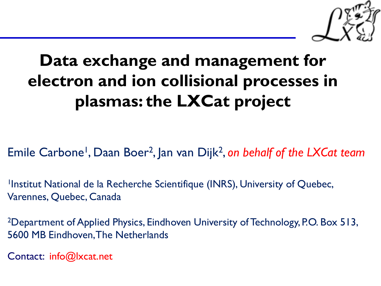

# **Data exchange and management for electron and ion collisional processes in plasmas: the LXCat project**

Emile Carbone<sup>1</sup>, Daan Boer<sup>2</sup>, Jan van Dijk<sup>2</sup>, on behalf of the LXCat team

Institut National de la Recherche Scientifique (INRS), University of Quebec, Varennes, Quebec, Canada

<sup>2</sup>Department of Applied Physics, Eindhoven University of Technology, P.O. Box 513, 5600 MB Eindhoven, The Netherlands

Contact: info@lxcat.net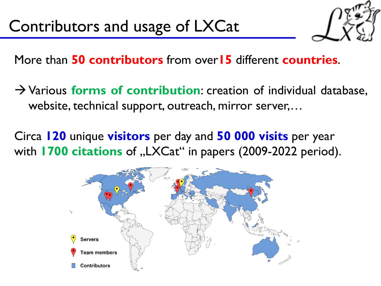

More than **50 contributors** from over**15** different **countries**.

- → Various **forms of contribution**: creation of individual database, website, technical support, outreach, mirror server,…
- Circa **120** unique **visitors** per day and **50 000 visits** per year with **1700 citations** of "LXCat" in papers (2009-2022 period).

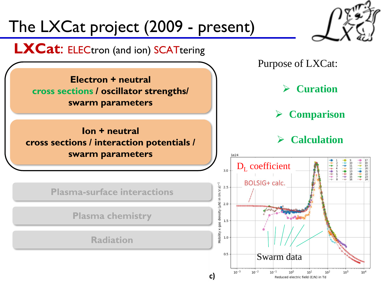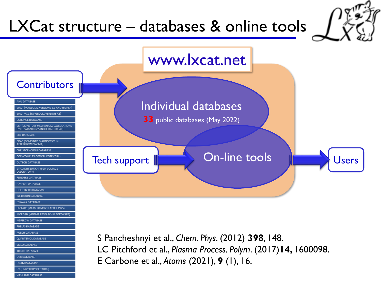# LXCat structure – databases & online tools



E Carbone et al., *Atoms* (2021), **9** (1), 16.

UNAM DATABASE UT (UNIVERSITY OF TARTU VIEHLAND DATABASE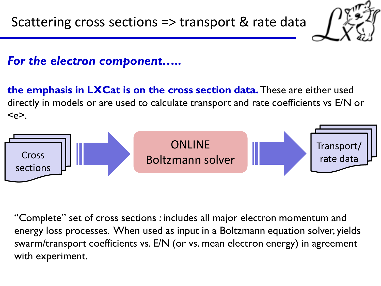

## *For the electron component…..*

**the emphasis in LXCat is on the cross section data.**These are either used directly in models or are used to calculate transport and rate coefficients vs E/N or  $\langle e \rangle$ .



"Complete" set of cross sections : includes all major electron momentum and energy loss processes. When used as input in a Boltzmann equation solver, yields swarm/transport coefficients vs. E/N (or vs. mean electron energy) in agreement with experiment.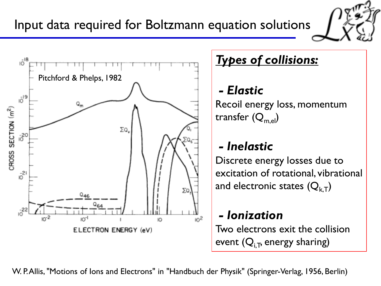

## *Types of collisions:*

## *- Elastic*

Recoil energy loss, momentum transfer  $(Q_{m,el})$ 

## *- Inelastic*

Discrete energy losses due to excitation of rotational, vibrational and electronic states  $(Q_{k,T})$ 

# *- Ionization*

Two electrons exit the collision event  $(Q_{i,T}$ , energy sharing)

6 W. P. Allis, "Motions of Ions and Electrons" in "Handbuch der Physik" (Springer-Verlag, 1956, Berlin)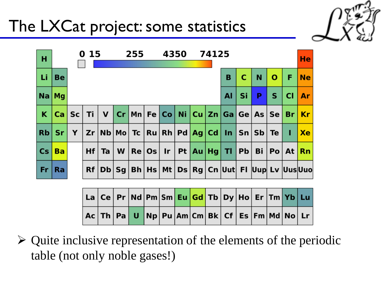# The LXCat project: some statistics



| н   |           |   | 0 15 |    |   | 255 | 4350 |  | 74125 |                                 |    |                                                                               |        |                 | He        |
|-----|-----------|---|------|----|---|-----|------|--|-------|---------------------------------|----|-------------------------------------------------------------------------------|--------|-----------------|-----------|
| -Li | <b>Be</b> |   |      |    |   |     |      |  |       | в                               | C  | N                                                                             | O      | F               | Ne        |
|     | $Na$ $Mq$ |   |      |    |   |     |      |  |       | Al                              | Si | P                                                                             | S      | <b>CI</b>       | <b>Ar</b> |
| K.  | Ca Sc Ti  |   |      |    |   |     |      |  |       |                                 |    | V Cr   Mn   Fe   Co   Ni   Cu   Zn   Ga   Ge   As   Se <mark>  Br   Kr</mark> |        |                 |           |
| Rb  | Sr.       | Y |      |    |   |     |      |  |       |                                 |    | Zr Nb Mo Tc Ru Rh Pd Ag Cd In Sn Sb                                           | Te $ $ | -1              | <b>Xe</b> |
| Cs  | <b>Ba</b> |   | Hf   | Ta | W |     |      |  |       | $Re Os $ Ir   Pt   Au   Hg   TI | Pb | Bi                                                                            |        | $Pol$ At $ Rn $ |           |
| Fr  | <b>Ra</b> |   |      |    |   |     |      |  |       |                                 |    | Rf   Db   Sg   Bh   Hs   Mt   Ds   Rg   Cn  Uut  FI  Uup  Lv  Uus Uuo         |        |                 |           |

|  |  |  |  |  |  | La   Ce   Pr   Nd   Pm   Sm <mark>  Eu   Gd  </mark> Tb   Dy   Ho   Er   Tm   Yb   Lu |  |
|--|--|--|--|--|--|---------------------------------------------------------------------------------------|--|
|  |  |  |  |  |  | Ac   Th   Pa   U   Np   Pu   Am   Cm   Bk   Cf   Es   Fm   Md   No   Lr               |  |

➢ Quite inclusive representation of the elements of the periodic table (not only noble gases!)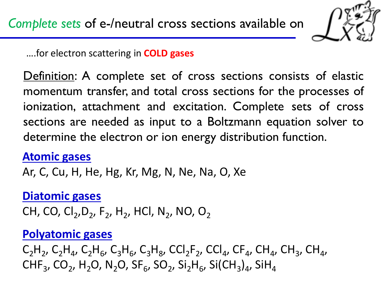

….for electron scattering in **COLD gases**

Definition: A complete set of cross sections consists of elastic momentum transfer, and total cross sections for the processes of ionization, attachment and excitation. Complete sets of cross sections are needed as input to a Boltzmann equation solver to determine the electron or ion energy distribution function.

### **Atomic gases**

Ar, C, Cu, H, He, Hg, Kr, Mg, N, Ne, Na, O, Xe

#### **Diatomic gases**

CH, CO, Cl<sub>2</sub>, D<sub>2</sub>, F<sub>2</sub>, H<sub>2</sub>, HCl, N<sub>2</sub>, NO, O<sub>2</sub>

### **Polyatomic gases**

 $C_2H_2$ ,  $C_2H_4$ ,  $C_2H_6$ ,  $C_3H_6$ ,  $C_3H_8$ ,  $CCl_2F_2$ ,  $CCl_4$ ,  $CF_4$ ,  $CH_4$ ,  $CH_3$ ,  $CH_4$ ,  ${\sf CHF}_3$ , CO<sub>2</sub>, H<sub>2</sub>O, N<sub>2</sub>O, SF<sub>6</sub>, SO<sub>2</sub>, Si<sub>2</sub>H<sub>6</sub>, Si(CH<sub>3</sub>)<sub>4</sub>, SiH<sub>4</sub>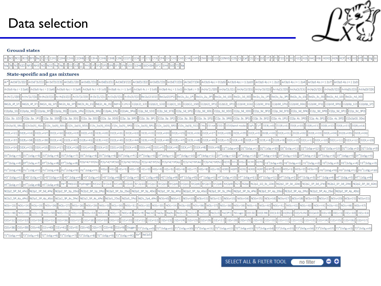

#### **Ground states**

| <b>CONTRACT DURING THE REAL</b> | זווסטפי<br><b>BUCBHAIL</b><br><b>NATION NAME</b><br>--------<br>$-$ | шензие<br><b>FJIL</b><br>. | <b>CO2</b> COM<br>:H4IICHF3 | 21 F<br>I H2 H2<br>12SH I<br>וור<br>. |  |
|---------------------------------|---------------------------------------------------------------------|----------------------------|-----------------------------|---------------------------------------|--|
| IYZH.                           |                                                                     | $\overline{\phantom{a}}$   |                             |                                       |  |

#### **State-specific and gas mixtures**

| Ar* Ar(3d'[3/2]2) Ar(3d'[5/2]2) Ar(3d'[5/2]3)<br>Ar(3d[5/2]2) Ar(3d[5/2]3) Ar(3d[7/2]3)<br>$Ar(3d[7/2]4)$ $Ar(3p54p 1 = 02p5)$ $Ar(3p54p 1 = 12p10)$ $Ar(3p54p 1 = 12p2)$ $Ar(3p54p 1 = 12p4)$<br>Ar(3d[1/2]0)<br>Ar(3d[1/2]1) Ar(3d[3/2]1)<br>Ar(3d[3/2]2)<br>$Ar(3p5 4p J = 1 2p7)$ $Ar(3p5 4p J = 2 2p3)$                                                                                                                                                                                                                                            |
|---------------------------------------------------------------------------------------------------------------------------------------------------------------------------------------------------------------------------------------------------------------------------------------------------------------------------------------------------------------------------------------------------------------------------------------------------------------------------------------------------------------------------------------------------------|
| Ar(3p5 4p J = 3 2p9)  Ar(3p5 4s J = 0 1s3)  Ar(3p5 4s J = 1 1s4)  Ar(3p5 4s J = 2 1s5)  Ar(3p5 4s j = 2 1s5)  Ar(3p5 4s j = 1 1s2)  Ar(3p5 4s J = 0   Ar(4p[1/2]0]  Ar(4p[1/2]0]  Ar(4p[1/2]1]  Ar(4p[3/2]2]  Ar(4p[3/2]2]  Ar<br>Ar(4p[3/2]2)<br>$Ar(3p5 4p J = 2 2p6)$<br>$Ar(3p5 4p J = 2 2p8)$<br>Ar(4p[3/2]1)<br>Ar(4p[5/2]2) Ar(4p[5/2]3                                                                                                                                                                                                          |
| Ar(4s[3/2]1)  Ar(4s[3/2]2]  Ar(5s'[1/2]0]  Ar(5s'[1/2]1)  Ar(5s[3/2]1)  Ar(5s[3/2]2]  Be(2p(2)122]  Be(2p(2)122]  Be(2p(2)122]  Be(2c_2p_1P)  Be(2s_2p_1P)  Be(2s_3d_10]  Be(2s_3d_101]  Be(2s_3p_1P)  Be(2s_3p_1P)  Be(2s_3s<br>Ar(4s'[1/2]0)<br>Ar(4s'[1/2]1)                                                                                                                                                                                                                                                                                         |
| Be(2s_4f_1F) Be(2s_4f_3F) Be(2s_4p_1P) Be(2s_4p_3P) Be(2s_4s_1S) Be(2s_4s_3S) BeH+ C2H2+ C(2p(2)_1D) C(2p(2)_1D) C(2p(2)_1D2) C(2p(2)_1S) C(2p(2)_1S) C(2p(2)_3P3) C(2p(2)_3P3) C(2p(2)_3P3) C(2p(2)_3P3) C(2p(2)_3P3) C(2p(2)<br>$C(2p3d_1Fo)$ $C(2p3d_1Po)$<br>$C(2p3d 3Do)$ $C(2p3d 3Fo)$ $C(2p3d 3Po)$ $C(2p3p 1D)$<br>C(2p3p 1P                                                                                                                                                                                                                    |
| 0(2p3p_1S)  0(2p3p_3D)  0(2p3p_3P)  0(2p3p_3S)  0(2p3s_1P0)  0(2p3s_3P0)  0(2p4s_1P0)  0(2p4s_1P0)  0(2p4s_1P0)  0(2p_3d_1D2)  0(2p_3d_1P2)  0(2p_3d_1P1)  0(2p_3d_3P1)  0(2p_3d_3P2)  0(2p_3d_3P3)  0(2p_3d_3P2)  0(2p_3d_3P3                                                                                                                                                                                                                                                                                                                          |
| C(2p_3p_1D2)  C(2p_3p_1P1)  C(2p_3p_1S0)  C(2p_3p_3D1)  C(2p_3p_3D2)  C(2p_3p_3D3)  C(2p_3p_3P3)  C(2p_3p_3P1)  C(2p_3p_3P2)  C(2p_3p_3S1)  C(2p_3s_3P1)  C(2p_3s_3P2)  C(2p_3s_3P2)  C(2p_4s_3P2)  C(2p_4s_3P2)  C(2p_4s_3P2)                                                                                                                                                                                                                                                                                                                          |
| C(2s2p(3)_3Po) C(2s2p(3)_5So) C(2s_2p(3)_3D1) C(2s_2p(3)_3D2) C(2s_2p(3)_3D3) C(2s_2p(3)_3P3) C(2s_2p(3)_3P0) C(2s_2p(3)_3P2) C(2s_2p(3)_3P2) C(2s_2p(3)_3P2) C(2s_2p(3)_3P2) C(2s_2p(3)_3P2) C(2s_2p(3)_3P2) C(2s_2p(3)_3P2)                                                                                                                                                                                                                                                                                                                           |
| 02(8,y=10) 02(8,y=10) 02(8,y=10) 02(8,y=10) 02(8,y=12) 02(8,y=29) 02(8,y=29) 02(8,y=20) 02(8,y=22) 02(8,y=22) 02(8,y=22) 02(8,y=22) 02(8,y=22) 02(8,y=22) 02(8,y=22) 02(8,y=22) 02(8,y=22) 02(8,y=22) 02(8,y=225) 02(8,y=226) 0                                                                                                                                                                                                                                                                                                                         |
| 02(8,v=39) 02(8,v=39) 02(8,v=39) 02(8,v=39) 02(8,v=40) 02(8,v=40) 02(8,v=42) 02(8,v=43) 02(8,v=43) 02(8,v=44) 02(8,v=44) 02(8,v=44) 02(8,v=44) 02(8,v=44) 02(8,v=44) 02(8,v=44) 02(8,v=44) 02(8,v=44) 02(8,v=44) 02(8,v=44) 02(                                                                                                                                                                                                                                                                                                                         |
|                                                                                                                                                                                                                                                                                                                                                                                                                                                                                                                                                         |
| 02*(1ssg,v=4)  02*(1ssg,v=5)  02*(1ssg,v=5)  02*(1ssg,v=6)  02*(1ssg,v=8)  02*(1ssg,v=8)  02*(1ssg,v=6)  02*(1ssg,v=6)  02*(1ssg,v=6)  07*(1ssg,v=7)  07*(1ssg,v=2)  07*(1ssg,v=12)  07*(1ssg,v=12)  07*(1ssg,v=12)  07*(1ssg,                                                                                                                                                                                                                                                                                                                          |
| DT*(155g,v=6)  DT*(155g,v=7)  DT*(155g,v=8)  DT*(155g,v=8)  PT*(155g,v=8)  F(2p^4(^4D)35)  F(2p^4(^3P)3d)  F(2p^4(^3P)3d)  F(2p^4(^3P)3d)  F(2p^4(^3P)3p)  F(2p^4(^3P)3p)  F(2p^4(^3P)3p)  F(2p^4(^3P)3p)  F(2p^4(^3P)3p)  F(2<br>$H2^{+}(1sSg,v=4)$<br>$H2^{+}(1sSg,v=5)$                                                                                                                                                                                                                                                                              |
| H2*(155g,v=6)  H2*(155g,v=7)  H2*(155g,v=8)  H2*(155g,v=8)  H2*(155g,v=8)  H2*(155g,v=7)  H2*(155g,v=10)  H2*(155g,v=10)  H2*(155g,v=10)  H2*(155g,v=10)  H2*(155g,v=10]  H2*(151g,v=10)  H2*(151g,v=10]  H2*(151g,v=10]  H2*(                                                                                                                                                                                                                                                                                                                          |
| HD <sup>+</sup> (1sSg,v=3)  HD <sup>+</sup> (1sSg,v=4)  HD <sup>+</sup> (1sSg,v=5)  HD <sup>+</sup> (1sSg,v=6)  HD <sup>+</sup> (1sSg,v=7) <br>HD <sup>+</sup> (1sSg,v=8) HD <sup>+</sup> (1sSg,v=9) HT <sup>+</sup> (1sSg,v=0) HT <sup>+</sup> (1sSg,v=1) HT <sup>+</sup> (1sSg,v=10) <br>HT <sup>+</sup> (1sSg,v=11) HT <sup>+</sup> (1sSg,v=12) HT <sup>+</sup> (1sSg,v=2) HT <sup>+</sup> (1sSg,v=3)<br>$HD+(1sSe.v=11)$<br>$HD+(1sSg,v=2)$<br>HT <sup>+</sup> (1sSg,v=4) HT <sup>+</sup> (1sSg,v=5) HT <sup>+</sup> (1sSg,v=6)                     |
| HT*(158g_v=8)  HT*(158g_v=9)  Ht* He(s13)  He*  He(s13)  Hydrogen  Kr(152)  Kr(153)  Kr(158)  Kr(158]  Kr(158]  Kr(2p10)  Kr(2p10)  Kr(2p2)  Kr(2p3)  Kr(2p3)  Kr(2p3)  Kr(2p3)  Kr(2p3)  Kr(2p3)  Kr(2p3)  Kr(2p3)  Kr(2p3)  <br>$TT^+(1sSg,v=7)$                                                                                                                                                                                                                                                                                                      |
| N(2p2_3P_3d_4Fe)  N(2p2_3P_3d_4Pe)  N(2p2_3P_3p_2Do)  N(2p2_3P_3p_2Po)  N(2p2_3P_3p_3Do)  N(2p2_3P_3p_4Do)  N(2p2_3P_3p_4Po)  N(2p2_3P_3p_4So)  N(2p2_3P_3s_4Pe)  N(2p2_3P_3s_4Pe)  N(2p2_3P_4p_2Do)  N(2p2_3P_4p_2Do)  N(2p2_                                                                                                                                                                                                                                                                                                                          |
| N(2p2_3P_4p_4Po)  N(2p2_3P_4p_4So)  N(2p2_3P_4s_2Pe)  N(2p2_3P_4s_2Pe)  N(2p2_3P_4s_4Pe)  N(2p3_2Po)  N(2p3_2Po)  N(2p3_2Po)  N(2p3_2Po)  N(2p2_3P_4pe)  N(2p2_3P_4pe)  N(2p3_2Po)  N(2p3_2Po)  N(2p=3)  N(2p=0)  N(2p=11)  N(                                                                                                                                                                                                                                                                                                                          |
|                                                                                                                                                                                                                                                                                                                                                                                                                                                                                                                                                         |
| 00(y=48)  N0(y=49)  N0(y=5)  N0(y=5)  N0(y=52)  N0(y=52)  N0(y=53)  N0(y=53)  N0(y=53)  N0(y=53)  N0(y=53)  N0(y=53)  N0(y=53)  N0(y=53)  N0(y=53)  N0(y=53)  N0(y=53)  N0(y=53)  N0(y=53)  N0(y=53)  N0(y=53)  N0(y=53)  N0(y                                                                                                                                                                                                                                                                                                                          |
| 02(v=13)  02(v=13)  02(v=13)  02(v=14)  02(v=15)  02(v=16)  02(v=17)  02(v=18)  02(v=19)  02(v=29)  02(v=22)  02(v=22)  02(v=23)  02(v=23)  02(v=28)  02(v=27)  02(v=28)  02(v=28)  02(v=32)  02(v=33)  02(v=333)  02(v=333)                                                                                                                                                                                                                                                                                                                            |
| $\text{O2}(v=38) \Big[\text{O2}(v=39) \Big] \Big[\text{O2}(v=4) \Big] \Big[\text{O2}(v=40) \Big] \Big[\text{O2}(v=41) \Big] \Big[\text{O2}(v=5) \Big] \Big[\text{O2}(v=5) \Big] \Big[\text{O2}(v=7) \Big] \Big[\text{O2}(v=8) \Big] \Big[\text{O2}(v=9) \Big] \Big[\text{Oxygen} \Big] \Big[\text{72}^+(15\text{Sg},v=0) \Big] \Big[\text{72}^+(15\text{Sg},v=1) \Big] \Big[\text{72}^$<br>$T2^{+}(1sSg,v=12)$<br>$T2^{+}(1sSg,v=13)\left T2^{+}(1sSg,v=14)\right \left T2^{+}(1sSg,v=15)\right \left T2^{+}(1sSg,v=16)\right $<br>$  T2^{T}(1sSg,v=11$ |
|                                                                                                                                                                                                                                                                                                                                                                                                                                                                                                                                                         |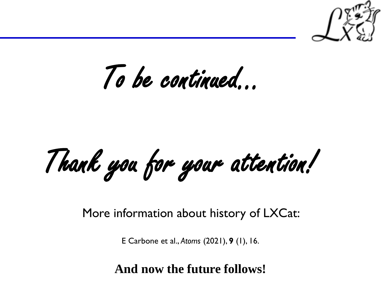

To be continued…

Thank you for your attention!

More information about history of LXCat:

E Carbone et al., *Atoms* (2021), **9** (1), 16.

**And now the future follows!**